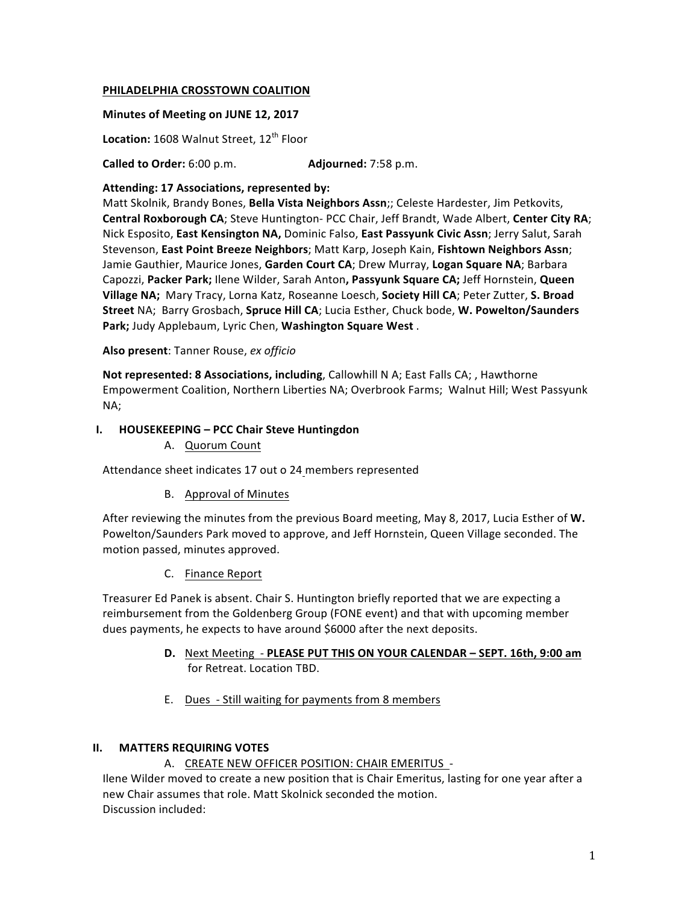## **PHILADELPHIA CROSSTOWN COALITION**

### **Minutes of Meeting on JUNE 12, 2017**

**Location:** 1608 Walnut Street, 12<sup>th</sup> Floor

**Called to Order:** 6:00 p.m. **Adjourned:** 7:58 p.m.

### Attending: 17 Associations, represented by:

Matt Skolnik, Brandy Bones, Bella Vista Neighbors Assn;; Celeste Hardester, Jim Petkovits, **Central Roxborough CA**; Steve Huntington- PCC Chair, Jeff Brandt, Wade Albert, Center City RA; Nick Esposito, East Kensington NA, Dominic Falso, East Passyunk Civic Assn; Jerry Salut, Sarah Stevenson, East Point Breeze Neighbors; Matt Karp, Joseph Kain, Fishtown Neighbors Assn; Jamie Gauthier, Maurice Jones, Garden Court CA; Drew Murray, Logan Square NA; Barbara Capozzi, Packer Park; Ilene Wilder, Sarah Anton, Passyunk Square CA; Jeff Hornstein, Queen Village NA; Mary Tracy, Lorna Katz, Roseanne Loesch, Society Hill CA; Peter Zutter, S. Broad Street NA; Barry Grosbach, Spruce Hill CA; Lucia Esther, Chuck bode, W. Powelton/Saunders Park; Judy Applebaum, Lyric Chen, Washington Square West.

## Also present: Tanner Rouse, ex officio

**Not represented: 8 Associations, including, Callowhill N A; East Falls CA; , Hawthorne** Empowerment Coalition, Northern Liberties NA; Overbrook Farms; Walnut Hill; West Passyunk NA; 

## **I. HOUSEKEEPING – PCC Chair Steve Huntingdon**

A. Quorum Count

Attendance sheet indicates 17 out o 24 members represented

# B. Approval of Minutes

After reviewing the minutes from the previous Board meeting, May 8, 2017, Lucia Esther of W. Powelton/Saunders Park moved to approve, and Jeff Hornstein, Queen Village seconded. The motion passed, minutes approved.

C. Finance Report

Treasurer Ed Panek is absent. Chair S. Huntington briefly reported that we are expecting a reimbursement from the Goldenberg Group (FONE event) and that with upcoming member dues payments, he expects to have around \$6000 after the next deposits.

- **D.** Next Meeting PLEASE PUT THIS ON YOUR CALENDAR SEPT. 16th, 9:00 am for Retreat. Location TBD.
- E. Dues Still waiting for payments from 8 members

# **II.** MATTERS REQUIRING VOTES

# A. CREATE NEW OFFICER POSITION: CHAIR EMERITUS -

Ilene Wilder moved to create a new position that is Chair Emeritus, lasting for one year after a new Chair assumes that role. Matt Skolnick seconded the motion. Discussion included: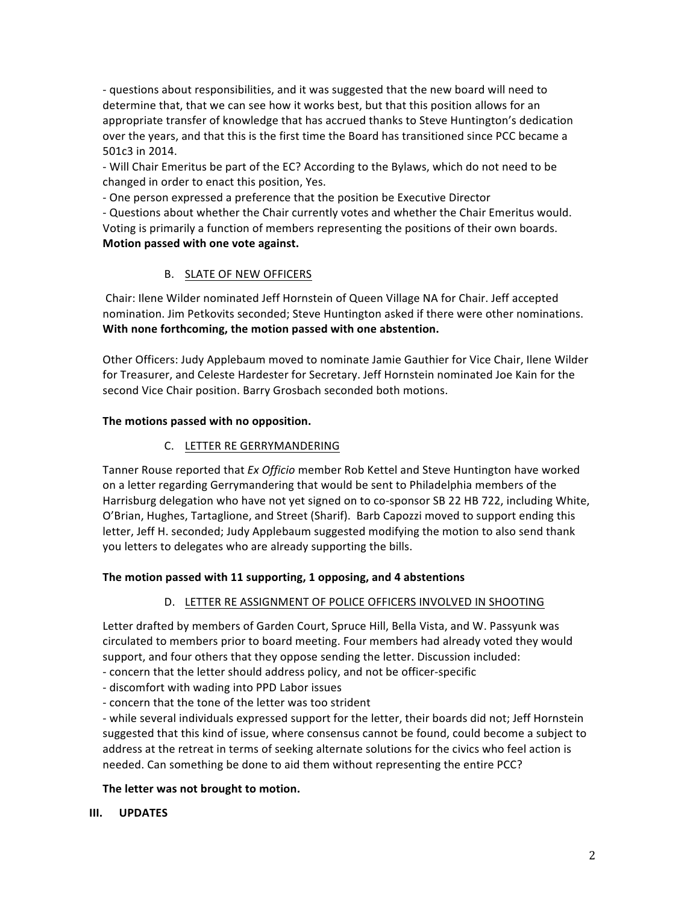- questions about responsibilities, and it was suggested that the new board will need to determine that, that we can see how it works best, but that this position allows for an appropriate transfer of knowledge that has accrued thanks to Steve Huntington's dedication over the years, and that this is the first time the Board has transitioned since PCC became a 501c3 in 2014.

- Will Chair Emeritus be part of the EC? According to the Bylaws, which do not need to be changed in order to enact this position, Yes.

- One person expressed a preference that the position be Executive Director

- Questions about whether the Chair currently votes and whether the Chair Emeritus would. Voting is primarily a function of members representing the positions of their own boards. **Motion passed with one vote against.** 

## B. SLATE OF NEW OFFICERS

Chair: Ilene Wilder nominated Jeff Hornstein of Queen Village NA for Chair. Jeff accepted nomination. Jim Petkovits seconded; Steve Huntington asked if there were other nominations. **With none forthcoming, the motion passed with one abstention.** 

Other Officers: Judy Applebaum moved to nominate Jamie Gauthier for Vice Chair, Ilene Wilder for Treasurer, and Celeste Hardester for Secretary. Jeff Hornstein nominated Joe Kain for the second Vice Chair position. Barry Grosbach seconded both motions.

# The motions passed with no opposition.

## C. LETTER RE GERRYMANDERING

Tanner Rouse reported that *Ex Officio* member Rob Kettel and Steve Huntington have worked on a letter regarding Gerrymandering that would be sent to Philadelphia members of the Harrisburg delegation who have not yet signed on to co-sponsor SB 22 HB 722, including White, O'Brian, Hughes, Tartaglione, and Street (Sharif). Barb Capozzi moved to support ending this letter, Jeff H. seconded; Judy Applebaum suggested modifying the motion to also send thank you letters to delegates who are already supporting the bills.

### The motion passed with 11 supporting, 1 opposing, and 4 abstentions

# D. LETTER RE ASSIGNMENT OF POLICE OFFICERS INVOLVED IN SHOOTING

Letter drafted by members of Garden Court, Spruce Hill, Bella Vista, and W. Passyunk was circulated to members prior to board meeting. Four members had already voted they would support, and four others that they oppose sending the letter. Discussion included:

- concern that the letter should address policy, and not be officer-specific

- discomfort with wading into PPD Labor issues

- concern that the tone of the letter was too strident

- while several individuals expressed support for the letter, their boards did not; Jeff Hornstein suggested that this kind of issue, where consensus cannot be found, could become a subject to address at the retreat in terms of seeking alternate solutions for the civics who feel action is needed. Can something be done to aid them without representing the entire PCC?

### The letter was not brought to motion.

### **III. UPDATES**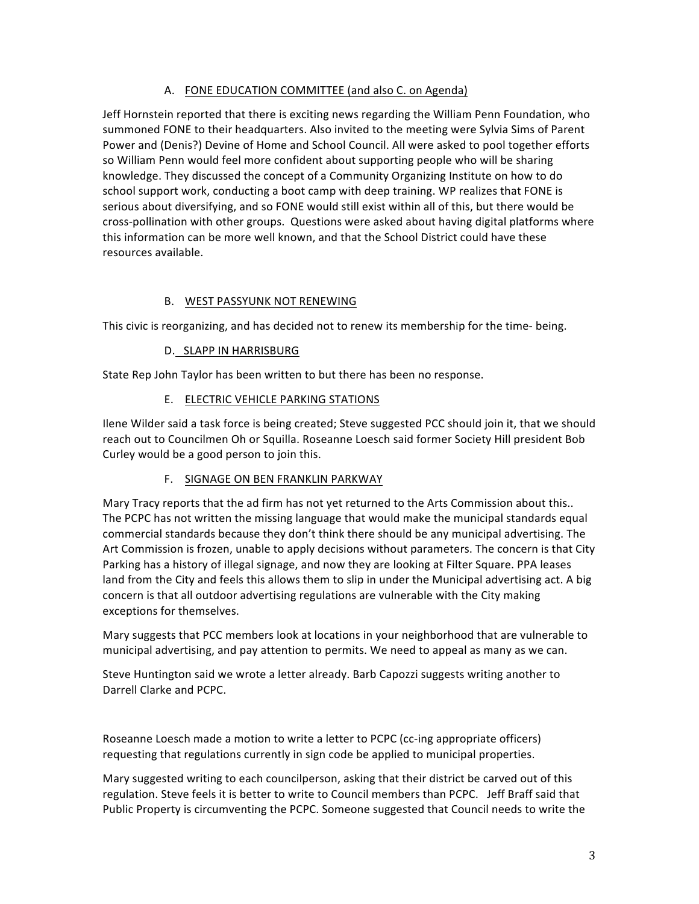# A. FONE EDUCATION COMMITTEE (and also C. on Agenda)

Jeff Hornstein reported that there is exciting news regarding the William Penn Foundation, who summoned FONE to their headquarters. Also invited to the meeting were Sylvia Sims of Parent Power and (Denis?) Devine of Home and School Council. All were asked to pool together efforts so William Penn would feel more confident about supporting people who will be sharing knowledge. They discussed the concept of a Community Organizing Institute on how to do school support work, conducting a boot camp with deep training. WP realizes that FONE is serious about diversifying, and so FONE would still exist within all of this, but there would be cross-pollination with other groups. Questions were asked about having digital platforms where this information can be more well known, and that the School District could have these resources available.

# B. WEST PASSYUNK NOT RENEWING

This civic is reorganizing, and has decided not to renew its membership for the time- being.

# D. SLAPP IN HARRISBURG

State Rep John Taylor has been written to but there has been no response.

# E. ELECTRIC VEHICLE PARKING STATIONS

Ilene Wilder said a task force is being created; Steve suggested PCC should join it, that we should reach out to Councilmen Oh or Squilla. Roseanne Loesch said former Society Hill president Bob Curley would be a good person to join this.

# F. SIGNAGE ON BEN FRANKLIN PARKWAY

Mary Tracy reports that the ad firm has not yet returned to the Arts Commission about this.. The PCPC has not written the missing language that would make the municipal standards equal commercial standards because they don't think there should be any municipal advertising. The Art Commission is frozen, unable to apply decisions without parameters. The concern is that City Parking has a history of illegal signage, and now they are looking at Filter Square. PPA leases land from the City and feels this allows them to slip in under the Municipal advertising act. A big concern is that all outdoor advertising regulations are vulnerable with the City making exceptions for themselves.

Mary suggests that PCC members look at locations in your neighborhood that are vulnerable to municipal advertising, and pay attention to permits. We need to appeal as many as we can.

Steve Huntington said we wrote a letter already. Barb Capozzi suggests writing another to Darrell Clarke and PCPC.

Roseanne Loesch made a motion to write a letter to PCPC (cc-ing appropriate officers) requesting that regulations currently in sign code be applied to municipal properties.

Mary suggested writing to each councilperson, asking that their district be carved out of this regulation. Steve feels it is better to write to Council members than PCPC. Jeff Braff said that Public Property is circumventing the PCPC. Someone suggested that Council needs to write the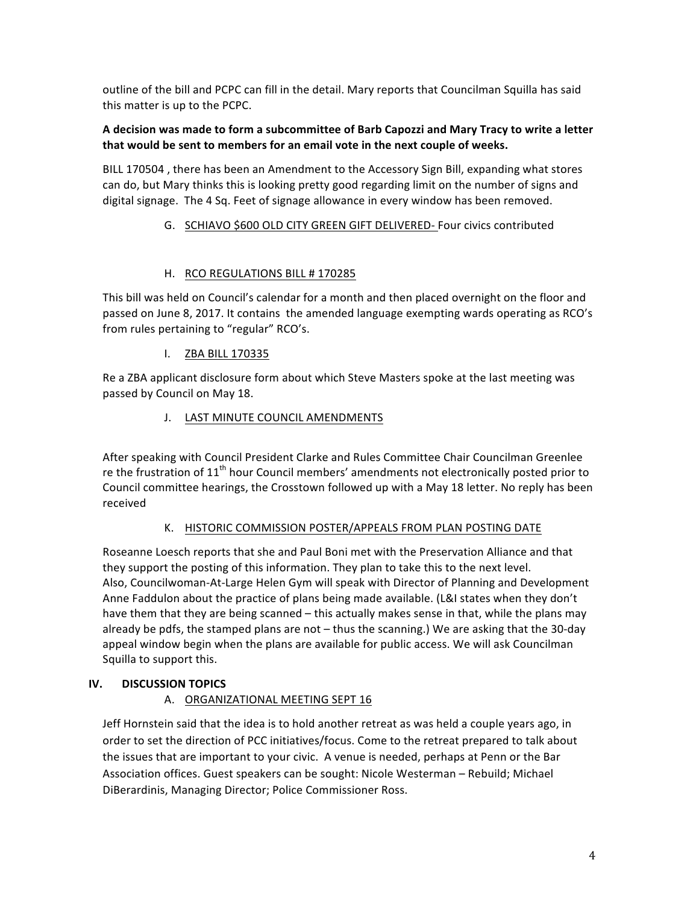outline of the bill and PCPC can fill in the detail. Mary reports that Councilman Squilla has said this matter is up to the PCPC.

## A decision was made to form a subcommittee of Barb Capozzi and Mary Tracy to write a letter that would be sent to members for an email vote in the next couple of weeks.

BILL 170504, there has been an Amendment to the Accessory Sign Bill, expanding what stores can do, but Mary thinks this is looking pretty good regarding limit on the number of signs and digital signage. The 4 Sq. Feet of signage allowance in every window has been removed.

## G. SCHIAVO \$600 OLD CITY GREEN GIFT DELIVERED- Four civics contributed

# H. RCO REGULATIONS BILL # 170285

This bill was held on Council's calendar for a month and then placed overnight on the floor and passed on June 8, 2017. It contains the amended language exempting wards operating as RCO's from rules pertaining to "regular" RCO's.

## I. ZBA BILL 170335

Re a ZBA applicant disclosure form about which Steve Masters spoke at the last meeting was passed by Council on May 18.

## J. LAST MINUTE COUNCIL AMENDMENTS

After speaking with Council President Clarke and Rules Committee Chair Councilman Greenlee re the frustration of  $11<sup>th</sup>$  hour Council members' amendments not electronically posted prior to Council committee hearings, the Crosstown followed up with a May 18 letter. No reply has been received

# K. HISTORIC COMMISSION POSTER/APPEALS FROM PLAN POSTING DATE

Roseanne Loesch reports that she and Paul Boni met with the Preservation Alliance and that they support the posting of this information. They plan to take this to the next level. Also, Councilwoman-At-Large Helen Gym will speak with Director of Planning and Development Anne Faddulon about the practice of plans being made available. (L&I states when they don't have them that they are being scanned – this actually makes sense in that, while the plans may already be pdfs, the stamped plans are not  $-$  thus the scanning.) We are asking that the 30-day appeal window begin when the plans are available for public access. We will ask Councilman Squilla to support this.

# **IV. DISCUSSION TOPICS**

# A. ORGANIZATIONAL MEETING SEPT 16

Jeff Hornstein said that the idea is to hold another retreat as was held a couple years ago, in order to set the direction of PCC initiatives/focus. Come to the retreat prepared to talk about the issues that are important to your civic. A venue is needed, perhaps at Penn or the Bar Association offices. Guest speakers can be sought: Nicole Westerman - Rebuild; Michael DiBerardinis, Managing Director; Police Commissioner Ross.